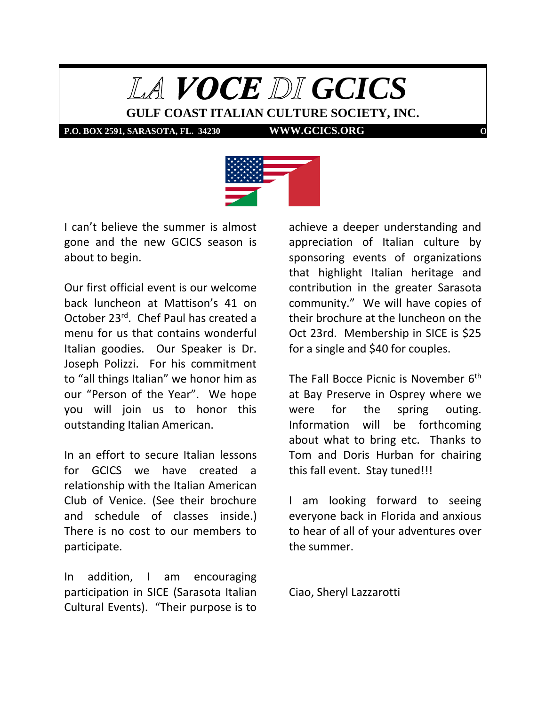

**P.O. BOX 2591, SARASOTA, FL. 34230 WWW.GCICS.ORG** 



I can't believe the summer is almost gone and the new GCICS season is about to begin.

Our first official event is our welcome back luncheon at Mattison's 41 on October 23<sup>rd</sup>. Chef Paul has created a menu for us that contains wonderful Italian goodies. Our Speaker is Dr. Joseph Polizzi. For his commitment to "all things Italian" we honor him as our "Person of the Year". We hope you will join us to honor this outstanding Italian American.

In an effort to secure Italian lessons for GCICS we have created a relationship with the Italian American Club of Venice. (See their brochure and schedule of classes inside.) There is no cost to our members to participate.

In addition, I am encouraging participation in SICE (Sarasota Italian Cultural Events). "Their purpose is to

achieve a deeper understanding and appreciation of Italian culture by sponsoring events of organizations that highlight Italian heritage and contribution in the greater Sarasota community." We will have copies of their brochure at the luncheon on the Oct 23rd. Membership in SICE is \$25 for a single and \$40 for couples.

The Fall Bocce Picnic is November  $6<sup>th</sup>$ at Bay Preserve in Osprey where we were for the spring outing. Information will be forthcoming about what to bring etc. Thanks to Tom and Doris Hurban for chairing this fall event. Stay tuned!!!

I am looking forward to seeing everyone back in Florida and anxious to hear of all of your adventures over the summer.

Ciao, Sheryl Lazzarotti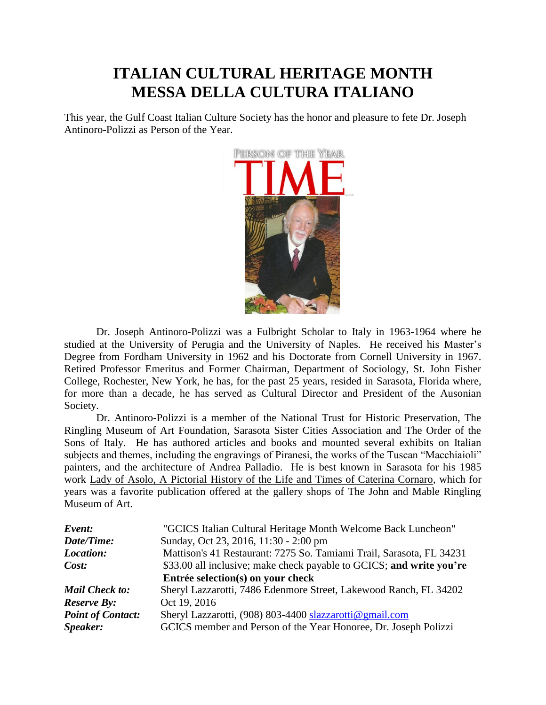## **ITALIAN CULTURAL HERITAGE MONTH MESSA DELLA CULTURA ITALIANO**

This year, the Gulf Coast Italian Culture Society has the honor and pleasure to fete Dr. Joseph Antinoro-Polizzi as Person of the Year.



Dr. Joseph Antinoro-Polizzi was a Fulbright Scholar to Italy in 1963-1964 where he studied at the University of Perugia and the University of Naples. He received his Master's Degree from Fordham University in 1962 and his Doctorate from Cornell University in 1967. Retired Professor Emeritus and Former Chairman, Department of Sociology, St. John Fisher College, Rochester, New York, he has, for the past 25 years, resided in Sarasota, Florida where, for more than a decade, he has served as Cultural Director and President of the Ausonian Society.

Dr. Antinoro-Polizzi is a member of the National Trust for Historic Preservation, The Ringling Museum of Art Foundation, Sarasota Sister Cities Association and The Order of the Sons of Italy. He has authored articles and books and mounted several exhibits on Italian subjects and themes, including the engravings of Piranesi, the works of the Tuscan "Macchiaioli" painters, and the architecture of Andrea Palladio. He is best known in Sarasota for his 1985 work Lady of Asolo, A Pictorial History of the Life and Times of Caterina Cornaro, which for years was a favorite publication offered at the gallery shops of The John and Mable Ringling Museum of Art.

| Event:                   | "GCICS Italian Cultural Heritage Month Welcome Back Luncheon"        |
|--------------------------|----------------------------------------------------------------------|
| Date/Time:               | Sunday, Oct 23, 2016, 11:30 - 2:00 pm                                |
| Location:                | Mattison's 41 Restaurant: 7275 So. Tamiami Trail, Sarasota, FL 34231 |
| Cost:                    | \$33.00 all inclusive; make check payable to GCICS; and write you're |
|                          | Entrée selection(s) on your check                                    |
| <b>Mail Check to:</b>    | Sheryl Lazzarotti, 7486 Edenmore Street, Lakewood Ranch, FL 34202    |
| <b>Reserve By:</b>       | Oct 19, 2016                                                         |
| <b>Point of Contact:</b> | Sheryl Lazzarotti, (908) 803-4400 slazzarotti@gmail.com              |
| Speaker:                 | GCICS member and Person of the Year Honoree, Dr. Joseph Polizzi      |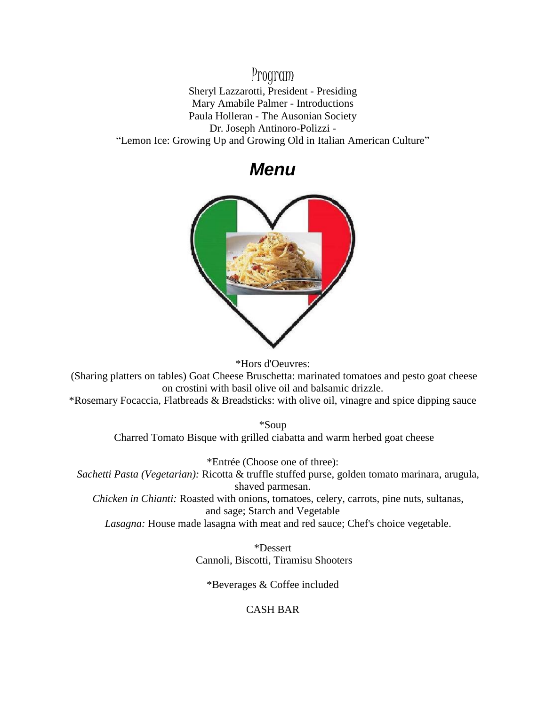## Program

Sheryl Lazzarotti, President - Presiding Mary Amabile Palmer - Introductions Paula Holleran - The Ausonian Society Dr. Joseph Antinoro-Polizzi - "Lemon Ice: Growing Up and Growing Old in Italian American Culture"

*Menu*



\*Hors d'Oeuvres:

(Sharing platters on tables) Goat Cheese Bruschetta: marinated tomatoes and pesto goat cheese on crostini with basil olive oil and balsamic drizzle.

\*Rosemary Focaccia, Flatbreads & Breadsticks: with olive oil, vinagre and spice dipping sauce

\*Soup Charred Tomato Bisque with grilled ciabatta and warm herbed goat cheese

\*Entrée (Choose one of three): *Sachetti Pasta (Vegetarian):* Ricotta & truffle stuffed purse, golden tomato marinara, arugula, shaved parmesan. *Chicken in Chianti:* Roasted with onions, tomatoes, celery, carrots, pine nuts, sultanas, and sage; Starch and Vegetable

*Lasagna:* House made lasagna with meat and red sauce; Chef's choice vegetable.

\*Dessert Cannoli, Biscotti, Tiramisu Shooters

\*Beverages & Coffee included

### CASH BAR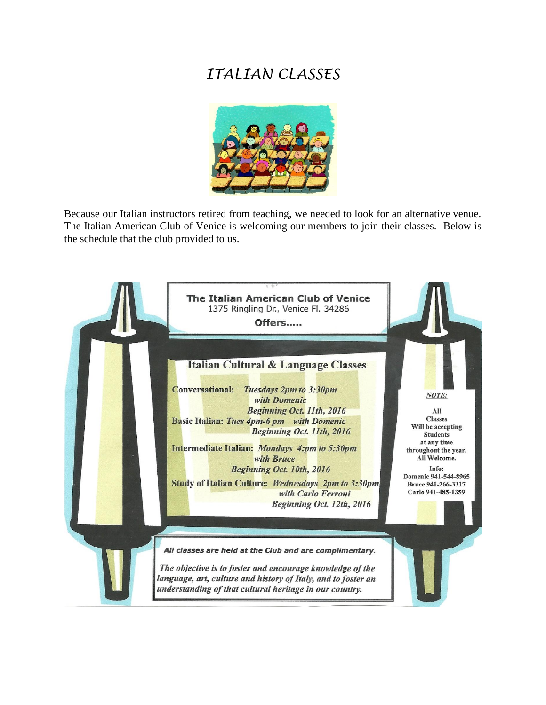# *ITALIAN CLASSES*



Because our Italian instructors retired from teaching, we needed to look for an alternative venue. The Italian American Club of Venice is welcoming our members to join their classes. Below is the schedule that the club provided to us.

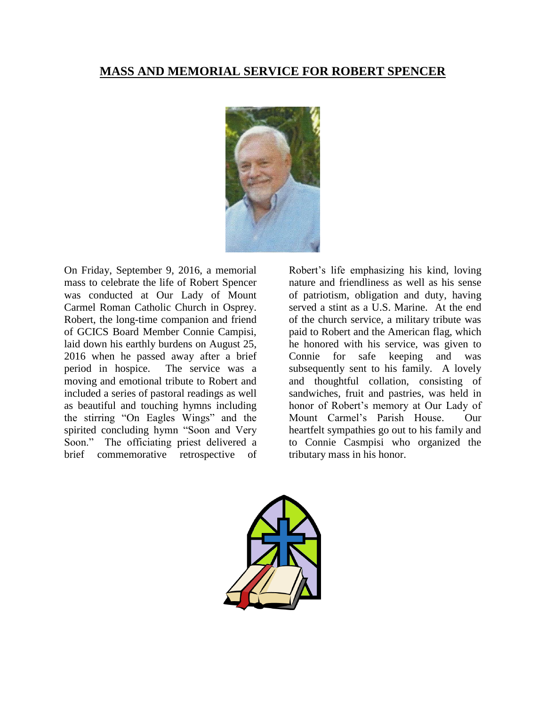## **MASS AND MEMORIAL SERVICE FOR ROBERT SPENCER**



On Friday, September 9, 2016, a memorial mass to celebrate the life of Robert Spencer was conducted at Our Lady of Mount Carmel Roman Catholic Church in Osprey. Robert, the long-time companion and friend of GCICS Board Member Connie Campisi, laid down his earthly burdens on August 25, 2016 when he passed away after a brief period in hospice. The service was a moving and emotional tribute to Robert and included a series of pastoral readings as well as beautiful and touching hymns including the stirring "On Eagles Wings" and the spirited concluding hymn "Soon and Very Soon." The officiating priest delivered a brief commemorative retrospective of

Robert's life emphasizing his kind, loving nature and friendliness as well as his sense of patriotism, obligation and duty, having served a stint as a U.S. Marine. At the end of the church service, a military tribute was paid to Robert and the American flag, which he honored with his service, was given to Connie for safe keeping and was subsequently sent to his family. A lovely and thoughtful collation, consisting of sandwiches, fruit and pastries, was held in honor of Robert's memory at Our Lady of Mount Carmel's Parish House. Our heartfelt sympathies go out to his family and to Connie Casmpisi who organized the tributary mass in his honor.

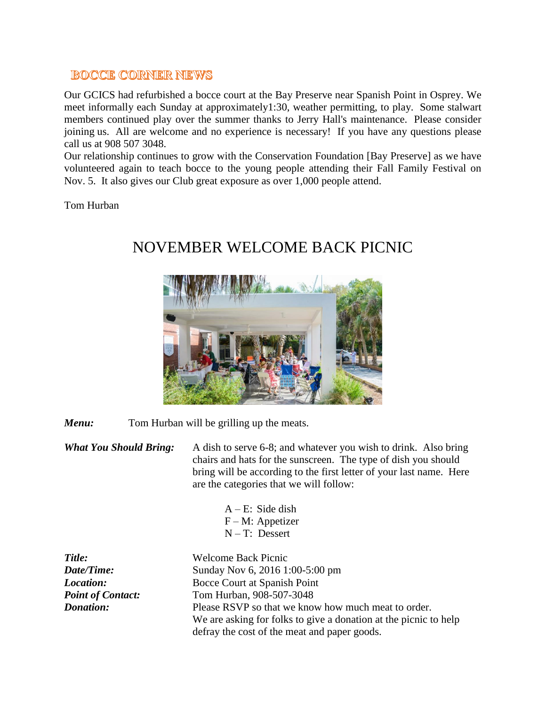### **BOCCE CORNER NEWS**

Our GCICS had refurbished a bocce court at the Bay Preserve near Spanish Point in Osprey. We meet informally each Sunday at approximately1:30, weather permitting, to play. Some stalwart members continued play over the summer thanks to Jerry Hall's maintenance. Please consider joining us. All are welcome and no experience is necessary! If you have any questions please call us at 908 507 3048.

Our relationship continues to grow with the Conservation Foundation [Bay Preserve] as we have volunteered again to teach bocce to the young people attending their Fall Family Festival on Nov. 5. It also gives our Club great exposure as over 1,000 people attend.

Tom Hurban



# NOVEMBER WELCOME BACK PICNIC

*Menu:* Tom Hurban will be grilling up the meats.

*What You Should Bring:* A dish to serve 6-8; and whatever you wish to drink. Also bring chairs and hats for the sunscreen. The type of dish you should bring will be according to the first letter of your last name. Here are the categories that we will follow:

| $A - E$ : Side dish |
|---------------------|
| $F - M$ : Appetizer |
| $N-T$ : Dessert     |

a donation at the picnic to help

| Title:                   | <b>Welcome Back Picnic</b>                                 |
|--------------------------|------------------------------------------------------------|
| Date/Time:               | Sunday Nov 6, 2016 1:00-5:00 pm                            |
| Location:                | Bocce Court at Spanish Point                               |
| <b>Point of Contact:</b> | Tom Hurban, 908-507-3048                                   |
| <b>Donation:</b>         | Please RSVP so that we know how much meat to order.        |
|                          | We are asking for folks to give a donation at the picnic t |
|                          | defray the cost of the meat and paper goods.               |